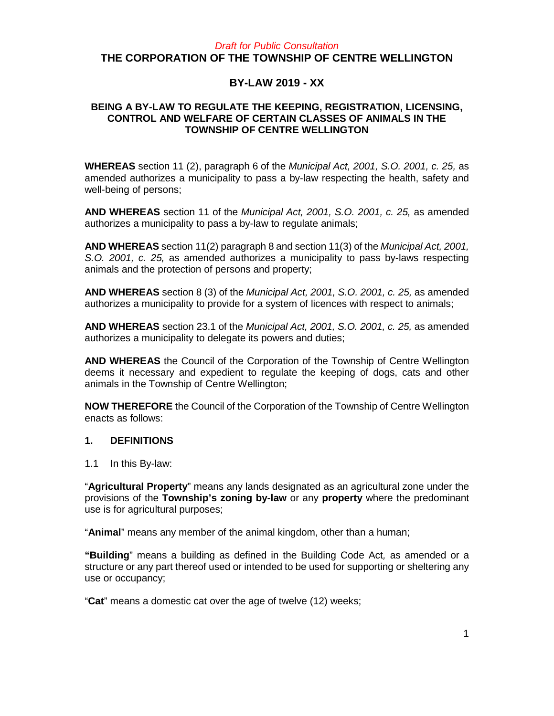## *Draft for Public Consultation* **THE CORPORATION OF THE TOWNSHIP OF CENTRE WELLINGTON**

# **BY-LAW 2019 - XX**

### **BEING A BY-LAW TO REGULATE THE KEEPING, REGISTRATION, LICENSING, CONTROL AND WELFARE OF CERTAIN CLASSES OF ANIMALS IN THE TOWNSHIP OF CENTRE WELLINGTON**

**WHEREAS** section 11 (2), paragraph 6 of the *Municipal Act, 2001, S.O. 2001, c. 25,* as amended authorizes a municipality to pass a by-law respecting the health, safety and well-being of persons;

**AND WHEREAS** section 11 of the *Municipal Act, 2001, S.O. 2001, c. 25,* as amended authorizes a municipality to pass a by-law to regulate animals;

**AND WHEREAS** section 11(2) paragraph 8 and section 11(3) of the *Municipal Act, 2001, S.O. 2001, c. 25,* as amended authorizes a municipality to pass by-laws respecting animals and the protection of persons and property;

**AND WHEREAS** section 8 (3) of the *Municipal Act, 2001, S.O. 2001, c. 25,* as amended authorizes a municipality to provide for a system of licences with respect to animals;

**AND WHEREAS** section 23.1 of the *Municipal Act, 2001, S.O. 2001, c. 25,* as amended authorizes a municipality to delegate its powers and duties;

**AND WHEREAS** the Council of the Corporation of the Township of Centre Wellington deems it necessary and expedient to regulate the keeping of dogs, cats and other animals in the Township of Centre Wellington;

**NOW THEREFORE** the Council of the Corporation of the Township of Centre Wellington enacts as follows:

#### **1. DEFINITIONS**

1.1 In this By-law:

"**Agricultural Property**" means any lands designated as an agricultural zone under the provisions of the **Township's zoning by-law** or any **property** where the predominant use is for agricultural purposes;

"**Animal**" means any member of the animal kingdom, other than a human;

**"Building**" means a building as defined in the Building Code Act*,* as amended or a structure or any part thereof used or intended to be used for supporting or sheltering any use or occupancy;

"**Cat**" means a domestic cat over the age of twelve (12) weeks;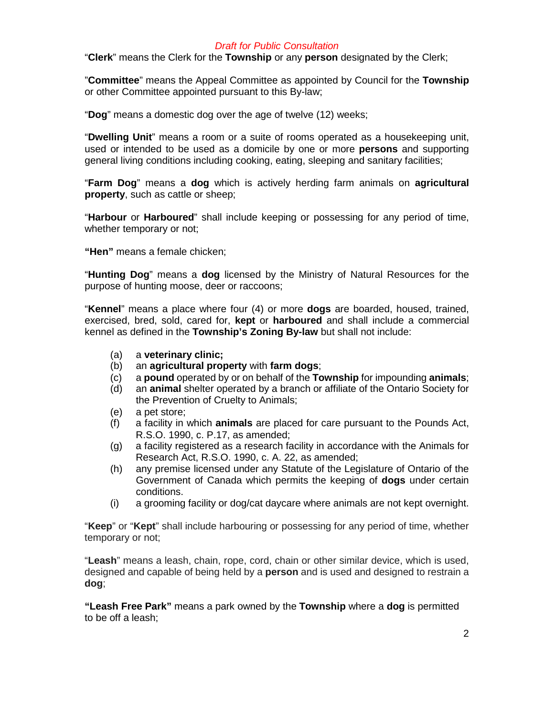"**Clerk**" means the Clerk for the **Township** or any **person** designated by the Clerk;

"**Committee**" means the Appeal Committee as appointed by Council for the **Township**  or other Committee appointed pursuant to this By-law;

"**Dog**" means a domestic dog over the age of twelve (12) weeks;

"**Dwelling Unit**" means a room or a suite of rooms operated as a housekeeping unit, used or intended to be used as a domicile by one or more **persons** and supporting general living conditions including cooking, eating, sleeping and sanitary facilities;

"**Farm Dog**" means a **dog** which is actively herding farm animals on **agricultural property**, such as cattle or sheep;

"**Harbour** or **Harboured**" shall include keeping or possessing for any period of time, whether temporary or not;

**"Hen"** means a female chicken;

"**Hunting Dog**" means a **dog** licensed by the Ministry of Natural Resources for the purpose of hunting moose, deer or raccoons;

"**Kennel**" means a place where four (4) or more **dogs** are boarded, housed, trained, exercised, bred, sold, cared for, **kept** or **harboured** and shall include a commercial kennel as defined in the **Township's Zoning By-law** but shall not include:

- (a) a **veterinary clinic;**
- (b) an **agricultural property** with **farm dogs**;
- (c) a **pound** operated by or on behalf of the **Township** for impounding **animals**;
- (d) an **animal** shelter operated by a branch or affiliate of the Ontario Society for the Prevention of Cruelty to Animals;
- (e) a pet store;
- (f) a facility in which **animals** are placed for care pursuant to the Pounds Act, R.S.O. 1990, c. P.17, as amended;
- (g) a facility registered as a research facility in accordance with the Animals for Research Act, R.S.O. 1990, c. A. 22, as amended;
- (h) any premise licensed under any Statute of the Legislature of Ontario of the Government of Canada which permits the keeping of **dogs** under certain conditions.
- (i) a grooming facility or dog/cat daycare where animals are not kept overnight.

"**Keep**" or "**Kept**" shall include harbouring or possessing for any period of time, whether temporary or not;

"**Leash**" means a leash, chain, rope, cord, chain or other similar device, which is used, designed and capable of being held by a **person** and is used and designed to restrain a **dog**;

**"Leash Free Park"** means a park owned by the **Township** where a **dog** is permitted to be off a leash;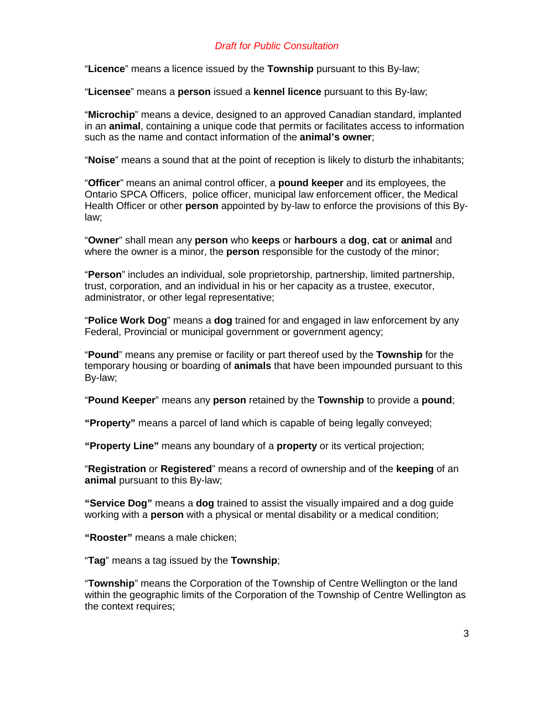"**Licence**" means a licence issued by the **Township** pursuant to this By-law;

"**Licensee**" means a **person** issued a **kennel licence** pursuant to this By-law;

"**Microchip**" means a device, designed to an approved Canadian standard, implanted in an **animal**, containing a unique code that permits or facilitates access to information such as the name and contact information of the **animal's owner**;

"**Noise**" means a sound that at the point of reception is likely to disturb the inhabitants;

"**Officer**" means an animal control officer, a **pound keeper** and its employees, the Ontario SPCA Officers, police officer, municipal law enforcement officer, the Medical Health Officer or other **person** appointed by by-law to enforce the provisions of this Bylaw;

"**Owner**" shall mean any **person** who **keeps** or **harbours** a **dog**, **cat** or **animal** and where the owner is a minor, the **person** responsible for the custody of the minor;

"**Person**" includes an individual, sole proprietorship, partnership, limited partnership, trust, corporation, and an individual in his or her capacity as a trustee, executor, administrator, or other legal representative;

"**Police Work Dog**" means a **dog** trained for and engaged in law enforcement by any Federal, Provincial or municipal government or government agency;

"**Pound**" means any premise or facility or part thereof used by the **Township** for the temporary housing or boarding of **animals** that have been impounded pursuant to this By-law;

"**Pound Keeper**" means any **person** retained by the **Township** to provide a **pound**;

**"Property"** means a parcel of land which is capable of being legally conveyed;

**"Property Line"** means any boundary of a **property** or its vertical projection;

"**Registration** or **Registered**" means a record of ownership and of the **keeping** of an **animal** pursuant to this By-law;

**"Service Dog"** means a **dog** trained to assist the visually impaired and a dog guide working with a **person** with a physical or mental disability or a medical condition;

**"Rooster"** means a male chicken;

"**Tag**" means a tag issued by the **Township**;

"**Township**" means the Corporation of the Township of Centre Wellington or the land within the geographic limits of the Corporation of the Township of Centre Wellington as the context requires;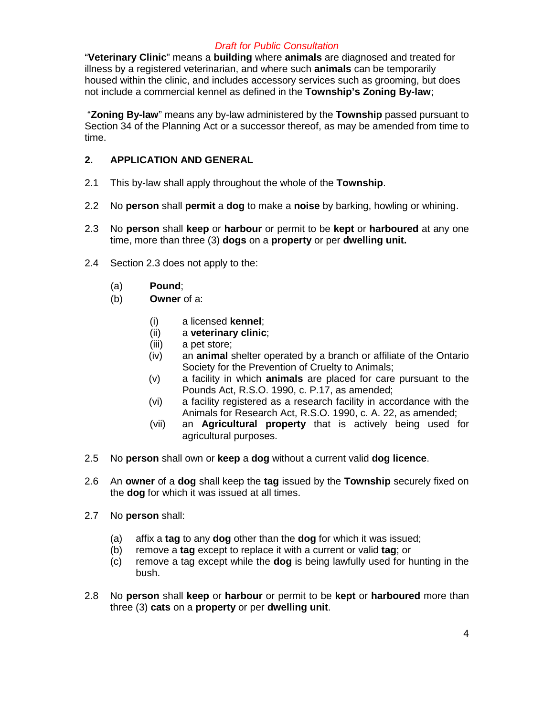"**Veterinary Clinic**" means a **building** where **animals** are diagnosed and treated for illness by a registered veterinarian, and where such **animals** can be temporarily housed within the clinic, and includes accessory services such as grooming, but does not include a commercial kennel as defined in the **Township's Zoning By-law**;

"**Zoning By-law**" means any by-law administered by the **Township** passed pursuant to Section 34 of the Planning Act or a successor thereof, as may be amended from time to time.

## **2. APPLICATION AND GENERAL**

- 2.1 This by-law shall apply throughout the whole of the **Township**.
- 2.2 No **person** shall **permit** a **dog** to make a **noise** by barking, howling or whining.
- 2.3 No **person** shall **keep** or **harbour** or permit to be **kept** or **harboured** at any one time, more than three (3) **dogs** on a **property** or per **dwelling unit.**
- 2.4 Section 2.3 does not apply to the:
	- (a) **Pound**;
	- (b) **Owner** of a:
		- (i) a licensed **kennel**;
		- (ii) a **veterinary clinic**;
		- (iii) a pet store;
		- (iv) an **animal** shelter operated by a branch or affiliate of the Ontario Society for the Prevention of Cruelty to Animals;
		- (v) a facility in which **animals** are placed for care pursuant to the Pounds Act, R.S.O. 1990, c. P.17, as amended;
		- (vi) a facility registered as a research facility in accordance with the Animals for Research Act, R.S.O. 1990, c. A. 22, as amended;
		- (vii) an **Agricultural property** that is actively being used for agricultural purposes.
- 2.5 No **person** shall own or **keep** a **dog** without a current valid **dog licence**.
- 2.6 An **owner** of a **dog** shall keep the **tag** issued by the **Township** securely fixed on the **dog** for which it was issued at all times.
- 2.7 No **person** shall:
	- (a) affix a **tag** to any **dog** other than the **dog** for which it was issued;
	- (b) remove a **tag** except to replace it with a current or valid **tag**; or
	- (c) remove a tag except while the **dog** is being lawfully used for hunting in the bush.
- 2.8 No **person** shall **keep** or **harbour** or permit to be **kept** or **harboured** more than three (3) **cats** on a **property** or per **dwelling unit**.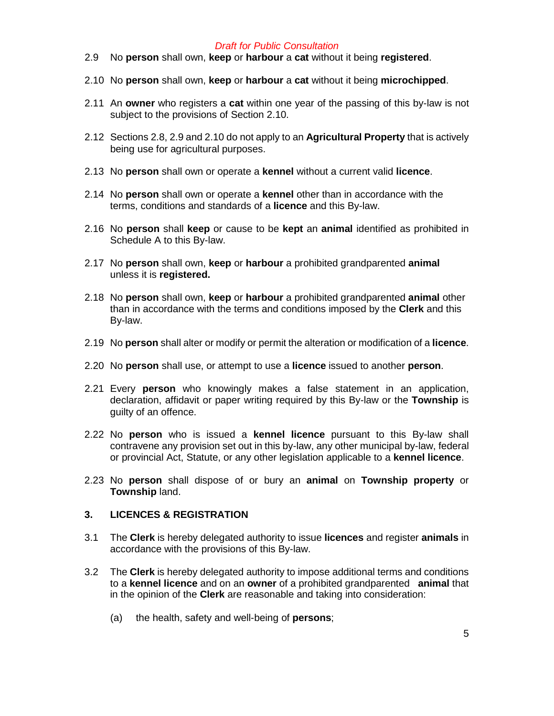- 2.9 No **person** shall own, **keep** or **harbour** a **cat** without it being **registered**.
- 2.10 No **person** shall own, **keep** or **harbour** a **cat** without it being **microchipped**.
- 2.11 An **owner** who registers a **cat** within one year of the passing of this by-law is not subject to the provisions of Section 2.10.
- 2.12 Sections 2.8, 2.9 and 2.10 do not apply to an **Agricultural Property** that is actively being use for agricultural purposes.
- 2.13 No **person** shall own or operate a **kennel** without a current valid **licence**.
- 2.14 No **person** shall own or operate a **kennel** other than in accordance with the terms, conditions and standards of a **licence** and this By-law.
- 2.16 No **person** shall **keep** or cause to be **kept** an **animal** identified as prohibited in Schedule A to this By-law.
- 2.17 No **person** shall own, **keep** or **harbour** a prohibited grandparented **animal**  unless it is **registered.**
- 2.18 No **person** shall own, **keep** or **harbour** a prohibited grandparented **animal** other than in accordance with the terms and conditions imposed by the **Clerk** and this By-law.
- 2.19 No **person** shall alter or modify or permit the alteration or modification of a **licence**.
- 2.20 No **person** shall use, or attempt to use a **licence** issued to another **person**.
- 2.21 Every **person** who knowingly makes a false statement in an application, declaration, affidavit or paper writing required by this By-law or the **Township** is guilty of an offence.
- 2.22 No **person** who is issued a **kennel licence** pursuant to this By-law shall contravene any provision set out in this by-law, any other municipal by-law, federal or provincial Act, Statute, or any other legislation applicable to a **kennel licence**.
- 2.23 No **person** shall dispose of or bury an **animal** on **Township property** or **Township** land.

#### **3. LICENCES & REGISTRATION**

- 3.1 The **Clerk** is hereby delegated authority to issue **licences** and register **animals** in accordance with the provisions of this By-law.
- 3.2 The **Clerk** is hereby delegated authority to impose additional terms and conditions to a **kennel licence** and on an **owner** of a prohibited grandparented **animal** that in the opinion of the **Clerk** are reasonable and taking into consideration:
	- (a) the health, safety and well-being of **persons**;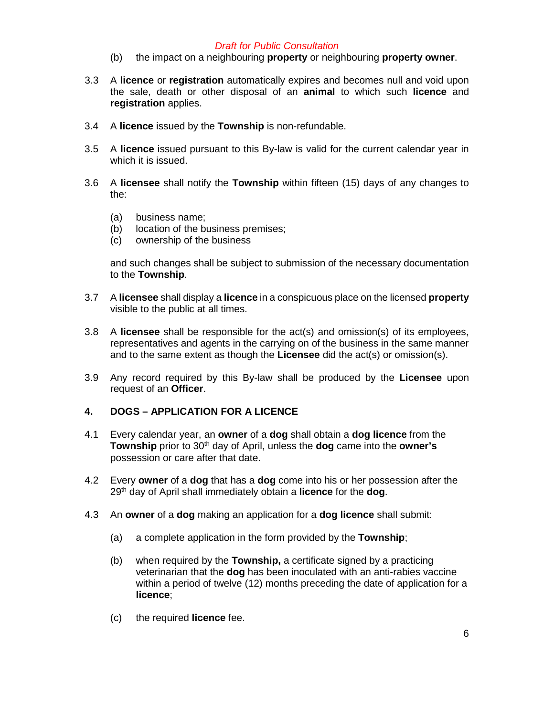- (b) the impact on a neighbouring **property** or neighbouring **property owner**.
- 3.3 A **licence** or **registration** automatically expires and becomes null and void upon the sale, death or other disposal of an **animal** to which such **licence** and **registration** applies.
- 3.4 A **licence** issued by the **Township** is non-refundable.
- 3.5 A **licence** issued pursuant to this By-law is valid for the current calendar year in which it is issued.
- 3.6 A **licensee** shall notify the **Township** within fifteen (15) days of any changes to the:
	- (a) business name;
	- (b) location of the business premises;
	- (c) ownership of the business

and such changes shall be subject to submission of the necessary documentation to the **Township**.

- 3.7 A **licensee** shall display a **licence** in a conspicuous place on the licensed **property** visible to the public at all times.
- 3.8 A **licensee** shall be responsible for the act(s) and omission(s) of its employees, representatives and agents in the carrying on of the business in the same manner and to the same extent as though the **Licensee** did the act(s) or omission(s).
- 3.9 Any record required by this By-law shall be produced by the **Licensee** upon request of an **Officer**.

#### **4. DOGS – APPLICATION FOR A LICENCE**

- 4.1 Every calendar year, an **owner** of a **dog** shall obtain a **dog licence** from the **Township** prior to 30<sup>th</sup> day of April, unless the **dog** came into the **owner's** possession or care after that date.
- 4.2 Every **owner** of a **dog** that has a **dog** come into his or her possession after the 29th day of April shall immediately obtain a **licence** for the **dog**.
- 4.3 An **owner** of a **dog** making an application for a **dog licence** shall submit:
	- (a) a complete application in the form provided by the **Township**;
	- (b) when required by the **Township,** a certificate signed by a practicing veterinarian that the **dog** has been inoculated with an anti-rabies vaccine within a period of twelve (12) months preceding the date of application for a **licence**;
	- (c) the required **licence** fee.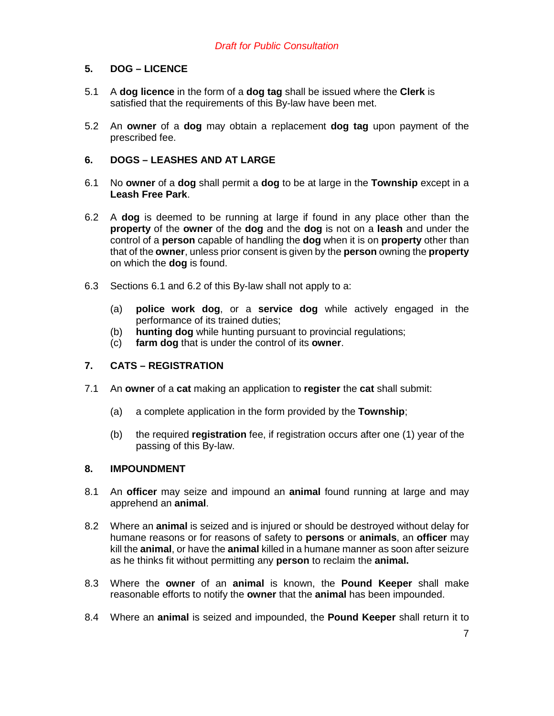## **5. DOG – LICENCE**

- 5.1 A **dog licence** in the form of a **dog tag** shall be issued where the **Clerk** is satisfied that the requirements of this By-law have been met.
- 5.2 An **owner** of a **dog** may obtain a replacement **dog tag** upon payment of the prescribed fee.

### **6. DOGS – LEASHES AND AT LARGE**

- 6.1 No **owner** of a **dog** shall permit a **dog** to be at large in the **Township** except in a **Leash Free Park**.
- 6.2 A **dog** is deemed to be running at large if found in any place other than the **property** of the **owner** of the **dog** and the **dog** is not on a **leash** and under the control of a **person** capable of handling the **dog** when it is on **property** other than that of the **owner**, unless prior consent is given by the **person** owning the **property** on which the **dog** is found.
- 6.3 Sections 6.1 and 6.2 of this By-law shall not apply to a:
	- (a) **police work dog**, or a **service dog** while actively engaged in the performance of its trained duties;
	- (b) **hunting dog** while hunting pursuant to provincial regulations;<br>(c) **farm dog** that is under the control of its **owner**.
	- farm dog that is under the control of its owner.

#### **7. CATS – REGISTRATION**

- 7.1 An **owner** of a **cat** making an application to **register** the **cat** shall submit:
	- (a) a complete application in the form provided by the **Township**;
	- (b) the required **registration** fee, if registration occurs after one (1) year of the passing of this By-law.

### **8. IMPOUNDMENT**

- 8.1 An **officer** may seize and impound an **animal** found running at large and may apprehend an **animal**.
- 8.2 Where an **animal** is seized and is injured or should be destroyed without delay for humane reasons or for reasons of safety to **persons** or **animals**, an **officer** may kill the **animal**, or have the **animal** killed in a humane manner as soon after seizure as he thinks fit without permitting any **person** to reclaim the **animal.**
- 8.3 Where the **owner** of an **animal** is known, the **Pound Keeper** shall make reasonable efforts to notify the **owner** that the **animal** has been impounded.
- 8.4 Where an **animal** is seized and impounded, the **Pound Keeper** shall return it to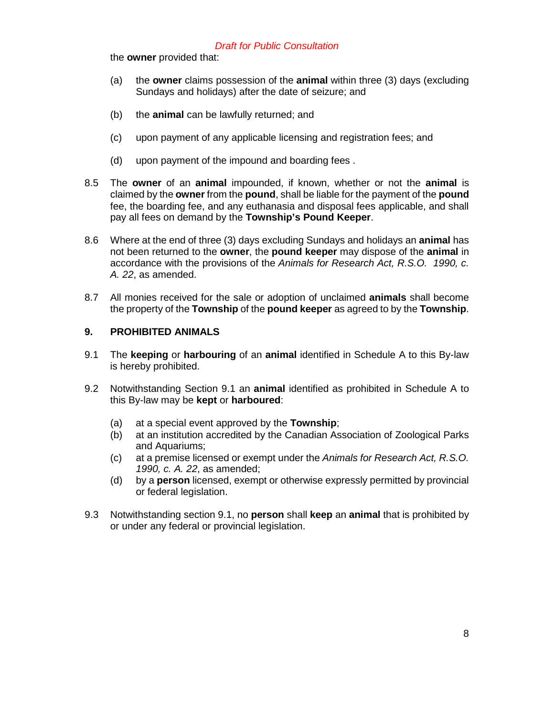the **owner** provided that:

- (a) the **owner** claims possession of the **animal** within three (3) days (excluding Sundays and holidays) after the date of seizure; and
- (b) the **animal** can be lawfully returned; and
- (c) upon payment of any applicable licensing and registration fees; and
- (d) upon payment of the impound and boarding fees .
- 8.5 The **owner** of an **animal** impounded, if known, whether or not the **animal** is claimed by the **owner** from the **pound**, shall be liable for the payment of the **pound**  fee, the boarding fee, and any euthanasia and disposal fees applicable, and shall pay all fees on demand by the **Township's Pound Keeper**.
- 8.6 Where at the end of three (3) days excluding Sundays and holidays an **animal** has not been returned to the **owner**, the **pound keeper** may dispose of the **animal** in accordance with the provisions of the *Animals for Research Act, R.S.O. 1990, c. A. 22*, as amended.
- 8.7 All monies received for the sale or adoption of unclaimed **animals** shall become the property of the **Township** of the **pound keeper** as agreed to by the **Township**.

### **9. PROHIBITED ANIMALS**

- 9.1 The **keeping** or **harbouring** of an **animal** identified in Schedule A to this By-law is hereby prohibited.
- 9.2 Notwithstanding Section 9.1 an **animal** identified as prohibited in Schedule A to this By-law may be **kept** or **harboured**:
	- (a) at a special event approved by the **Township**;
	- (b) at an institution accredited by the Canadian Association of Zoological Parks and Aquariums;
	- (c) at a premise licensed or exempt under the *Animals for Research Act, R.S.O. 1990, c. A. 22*, as amended;
	- (d) by a **person** licensed, exempt or otherwise expressly permitted by provincial or federal legislation.
- 9.3 Notwithstanding section 9.1, no **person** shall **keep** an **animal** that is prohibited by or under any federal or provincial legislation.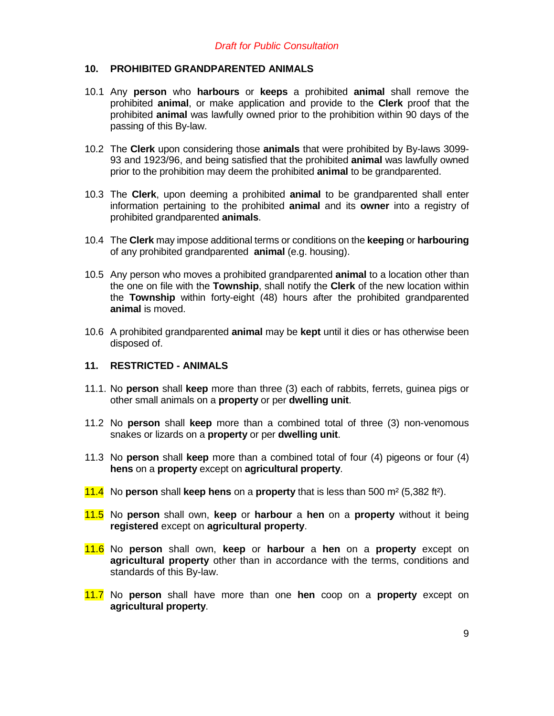### **10. PROHIBITED GRANDPARENTED ANIMALS**

- 10.1 Any **person** who **harbours** or **keeps** a prohibited **animal** shall remove the prohibited **animal**, or make application and provide to the **Clerk** proof that the prohibited **animal** was lawfully owned prior to the prohibition within 90 days of the passing of this By-law.
- 10.2 The **Clerk** upon considering those **animals** that were prohibited by By-laws 3099- 93 and 1923/96, and being satisfied that the prohibited **animal** was lawfully owned prior to the prohibition may deem the prohibited **animal** to be grandparented.
- 10.3 The **Clerk**, upon deeming a prohibited **animal** to be grandparented shall enter information pertaining to the prohibited **animal** and its **owner** into a registry of prohibited grandparented **animals**.
- 10.4 The **Clerk** may impose additional terms or conditions on the **keeping** or **harbouring** of any prohibited grandparented **animal** (e.g. housing).
- 10.5 Any person who moves a prohibited grandparented **animal** to a location other than the one on file with the **Township**, shall notify the **Clerk** of the new location within the **Township** within forty-eight (48) hours after the prohibited grandparented **animal** is moved.
- 10.6 A prohibited grandparented **animal** may be **kept** until it dies or has otherwise been disposed of.

#### **11. RESTRICTED - ANIMALS**

- 11.1. No **person** shall **keep** more than three (3) each of rabbits, ferrets, guinea pigs or other small animals on a **property** or per **dwelling unit**.
- 11.2 No **person** shall **keep** more than a combined total of three (3) non-venomous snakes or lizards on a **property** or per **dwelling unit**.
- 11.3 No **person** shall **keep** more than a combined total of four (4) pigeons or four (4) **hens** on a **property** except on **agricultural property**.
- 11.4 No **person** shall **keep hens** on a **property** that is less than 500 m² (5,382 ft²).
- 11.5 No **person** shall own, **keep** or **harbour** a **hen** on a **property** without it being **registered** except on **agricultural property**.
- 11.6 No **person** shall own, **keep** or **harbour** a **hen** on a **property** except on **agricultural property** other than in accordance with the terms, conditions and standards of this By-law.
- 11.7 No **person** shall have more than one **hen** coop on a **property** except on **agricultural property**.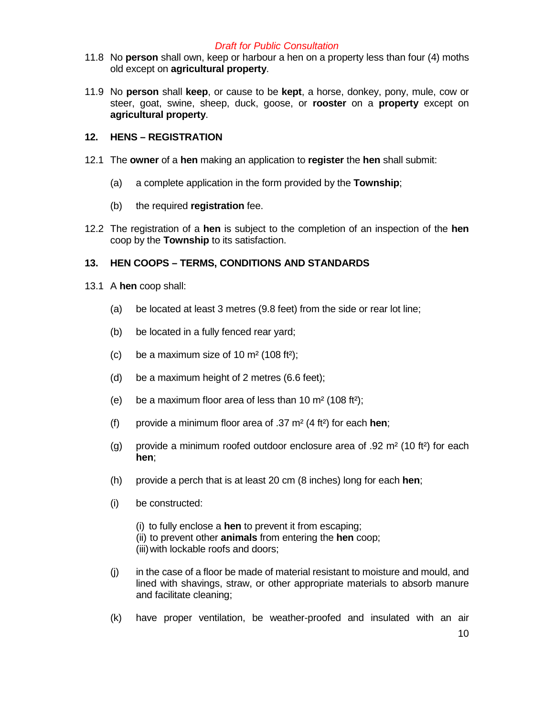- 11.8 No **person** shall own, keep or harbour a hen on a property less than four (4) moths old except on **agricultural property**.
- 11.9 No **person** shall **keep**, or cause to be **kept**, a horse, donkey, pony, mule, cow or steer, goat, swine, sheep, duck, goose, or **rooster** on a **property** except on **agricultural property**.

### **12. HENS – REGISTRATION**

- 12.1 The **owner** of a **hen** making an application to **register** the **hen** shall submit:
	- (a) a complete application in the form provided by the **Township**;
	- (b) the required **registration** fee.
- 12.2 The registration of a **hen** is subject to the completion of an inspection of the **hen** coop by the **Township** to its satisfaction.

## **13. HEN COOPS – TERMS, CONDITIONS AND STANDARDS**

- 13.1 A **hen** coop shall:
	- (a) be located at least 3 metres (9.8 feet) from the side or rear lot line;
	- (b) be located in a fully fenced rear yard;
	- (c) be a maximum size of 10  $\text{m}^2$  (108 ft<sup>2</sup>);
	- (d) be a maximum height of 2 metres (6.6 feet);
	- (e) be a maximum floor area of less than 10  $\text{m}^2$  (108 ft<sup>2</sup>);
	- (f) provide a minimum floor area of .37 m² (4 ft²) for each **hen**;
	- (g) provide a minimum roofed outdoor enclosure area of .92  $m^2$  (10 ft<sup>2</sup>) for each **hen**;
	- (h) provide a perch that is at least 20 cm (8 inches) long for each **hen**;
	- (i) be constructed:
		- (i) to fully enclose a **hen** to prevent it from escaping; (ii) to prevent other **animals** from entering the **hen** coop; (iii)with lockable roofs and doors;
	- (j) in the case of a floor be made of material resistant to moisture and mould, and lined with shavings, straw, or other appropriate materials to absorb manure and facilitate cleaning;
	- (k) have proper ventilation, be weather-proofed and insulated with an air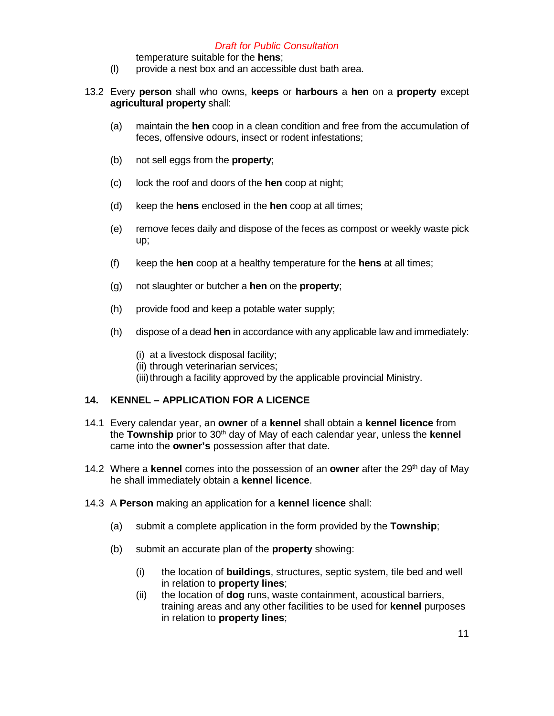- temperature suitable for the **hens**;
- (l) provide a nest box and an accessible dust bath area.
- 13.2 Every **person** shall who owns, **keeps** or **harbours** a **hen** on a **property** except **agricultural property** shall:
	- (a) maintain the **hen** coop in a clean condition and free from the accumulation of feces, offensive odours, insect or rodent infestations;
	- (b) not sell eggs from the **property**;
	- (c) lock the roof and doors of the **hen** coop at night;
	- (d) keep the **hens** enclosed in the **hen** coop at all times;
	- (e) remove feces daily and dispose of the feces as compost or weekly waste pick up;
	- (f) keep the **hen** coop at a healthy temperature for the **hens** at all times;
	- (g) not slaughter or butcher a **hen** on the **property**;
	- (h) provide food and keep a potable water supply;
	- (h) dispose of a dead **hen** in accordance with any applicable law and immediately:
		- (i) at a livestock disposal facility;
		- (ii) through veterinarian services;
		- (iii) through a facility approved by the applicable provincial Ministry.

# **14. KENNEL – APPLICATION FOR A LICENCE**

- 14.1 Every calendar year, an **owner** of a **kennel** shall obtain a **kennel licence** from the **Township** prior to 30<sup>th</sup> day of May of each calendar year, unless the **kennel** came into the **owner's** possession after that date.
- 14.2 Where a **kennel** comes into the possession of an **owner** after the 29th day of May he shall immediately obtain a **kennel licence**.
- 14.3 A **Person** making an application for a **kennel licence** shall:
	- (a) submit a complete application in the form provided by the **Township**;
	- (b) submit an accurate plan of the **property** showing:
		- (i) the location of **buildings**, structures, septic system, tile bed and well in relation to **property lines**;
		- (ii) the location of **dog** runs, waste containment, acoustical barriers, training areas and any other facilities to be used for **kennel** purposes in relation to **property lines**;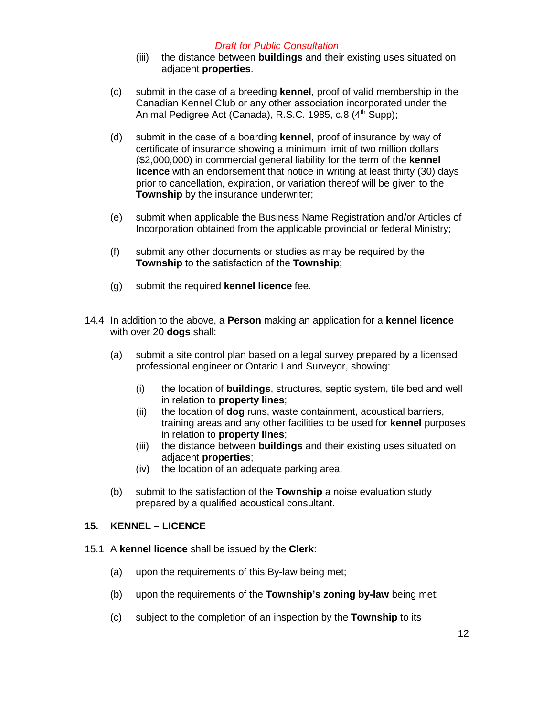- (iii) the distance between **buildings** and their existing uses situated on adjacent **properties**.
- (c) submit in the case of a breeding **kennel**, proof of valid membership in the Canadian Kennel Club or any other association incorporated under the Animal Pedigree Act (Canada), R.S.C. 1985, c.8 (4<sup>th</sup> Supp);
- (d) submit in the case of a boarding **kennel**, proof of insurance by way of certificate of insurance showing a minimum limit of two million dollars (\$2,000,000) in commercial general liability for the term of the **kennel licence** with an endorsement that notice in writing at least thirty (30) days prior to cancellation, expiration, or variation thereof will be given to the **Township** by the insurance underwriter;
- (e) submit when applicable the Business Name Registration and/or Articles of Incorporation obtained from the applicable provincial or federal Ministry;
- (f) submit any other documents or studies as may be required by the **Township** to the satisfaction of the **Township**;
- (g) submit the required **kennel licence** fee.
- 14.4 In addition to the above, a **Person** making an application for a **kennel licence** with over 20 **dogs** shall:
	- (a) submit a site control plan based on a legal survey prepared by a licensed professional engineer or Ontario Land Surveyor, showing:
		- (i) the location of **buildings**, structures, septic system, tile bed and well in relation to **property lines**;
		- (ii) the location of **dog** runs, waste containment, acoustical barriers, training areas and any other facilities to be used for **kennel** purposes in relation to **property lines**;
		- (iii) the distance between **buildings** and their existing uses situated on adjacent **properties**;
		- (iv) the location of an adequate parking area.
	- (b) submit to the satisfaction of the **Township** a noise evaluation study prepared by a qualified acoustical consultant.

## **15. KENNEL – LICENCE**

- 15.1 A **kennel licence** shall be issued by the **Clerk**:
	- (a) upon the requirements of this By-law being met;
	- (b) upon the requirements of the **Township's zoning by-law** being met;
	- (c) subject to the completion of an inspection by the **Township** to its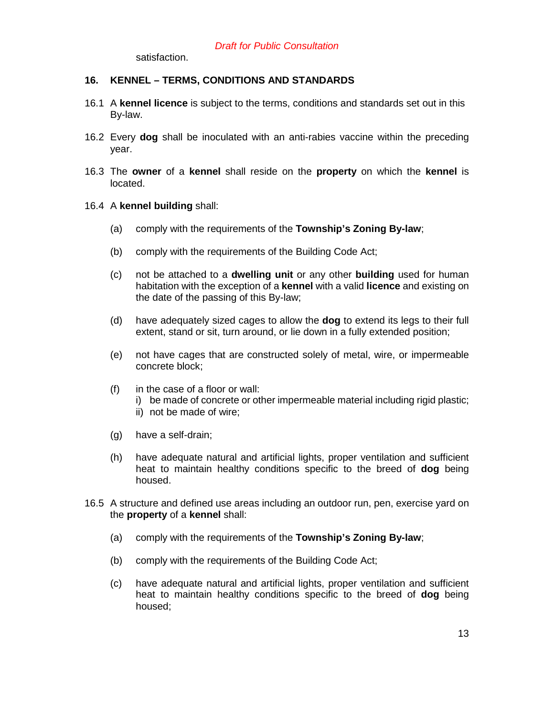satisfaction.

### **16. KENNEL – TERMS, CONDITIONS AND STANDARDS**

- 16.1 A **kennel licence** is subject to the terms, conditions and standards set out in this By-law.
- 16.2 Every **dog** shall be inoculated with an anti-rabies vaccine within the preceding year.
- 16.3 The **owner** of a **kennel** shall reside on the **property** on which the **kennel** is located.

#### 16.4 A **kennel building** shall:

- (a) comply with the requirements of the **Township's Zoning By-law**;
- (b) comply with the requirements of the Building Code Act;
- (c) not be attached to a **dwelling unit** or any other **building** used for human habitation with the exception of a **kennel** with a valid **licence** and existing on the date of the passing of this By-law;
- (d) have adequately sized cages to allow the **dog** to extend its legs to their full extent, stand or sit, turn around, or lie down in a fully extended position;
- (e) not have cages that are constructed solely of metal, wire, or impermeable concrete block;
- (f) in the case of a floor or wall:
	- i) be made of concrete or other impermeable material including rigid plastic;
	- ii) not be made of wire;
- (g) have a self-drain;
- (h) have adequate natural and artificial lights, proper ventilation and sufficient heat to maintain healthy conditions specific to the breed of **dog** being housed.
- 16.5 A structure and defined use areas including an outdoor run, pen, exercise yard on the **property** of a **kennel** shall:
	- (a) comply with the requirements of the **Township's Zoning By-law**;
	- (b) comply with the requirements of the Building Code Act;
	- (c) have adequate natural and artificial lights, proper ventilation and sufficient heat to maintain healthy conditions specific to the breed of **dog** being housed;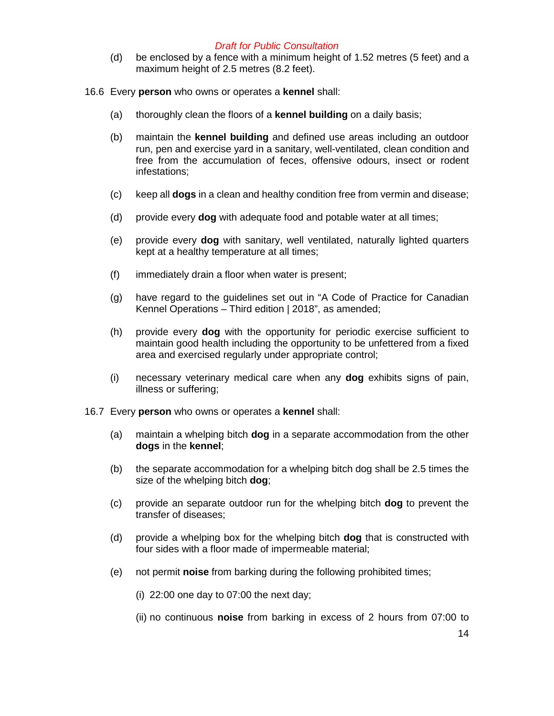(d) be enclosed by a fence with a minimum height of 1.52 metres (5 feet) and a maximum height of 2.5 metres (8.2 feet).

16.6 Every **person** who owns or operates a **kennel** shall:

- (a) thoroughly clean the floors of a **kennel building** on a daily basis;
- (b) maintain the **kennel building** and defined use areas including an outdoor run, pen and exercise yard in a sanitary, well-ventilated, clean condition and free from the accumulation of feces, offensive odours, insect or rodent infestations;
- (c) keep all **dogs** in a clean and healthy condition free from vermin and disease;
- (d) provide every **dog** with adequate food and potable water at all times;
- (e) provide every **dog** with sanitary, well ventilated, naturally lighted quarters kept at a healthy temperature at all times;
- (f) immediately drain a floor when water is present;
- (g) have regard to the guidelines set out in "A Code of Practice for Canadian Kennel Operations – Third edition | 2018", as amended;
- (h) provide every **dog** with the opportunity for periodic exercise sufficient to maintain good health including the opportunity to be unfettered from a fixed area and exercised regularly under appropriate control;
- (i) necessary veterinary medical care when any **dog** exhibits signs of pain, illness or suffering;
- 16.7 Every **person** who owns or operates a **kennel** shall:
	- (a) maintain a whelping bitch **dog** in a separate accommodation from the other **dogs** in the **kennel**;
	- (b) the separate accommodation for a whelping bitch dog shall be 2.5 times the size of the whelping bitch **dog**;
	- (c) provide an separate outdoor run for the whelping bitch **dog** to prevent the transfer of diseases;
	- (d) provide a whelping box for the whelping bitch **dog** that is constructed with four sides with a floor made of impermeable material;
	- (e) not permit **noise** from barking during the following prohibited times;
		- (i) 22:00 one day to 07:00 the next day;
		- (ii) no continuous **noise** from barking in excess of 2 hours from 07:00 to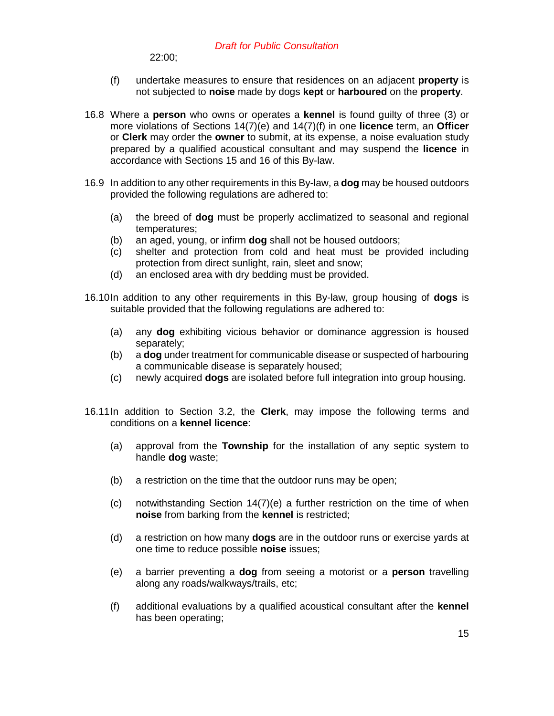22:00;

- (f) undertake measures to ensure that residences on an adjacent **property** is not subjected to **noise** made by dogs **kept** or **harboured** on the **property**.
- 16.8 Where a **person** who owns or operates a **kennel** is found guilty of three (3) or more violations of Sections 14(7)(e) and 14(7)(f) in one **licence** term, an **Officer** or **Clerk** may order the **owner** to submit, at its expense, a noise evaluation study prepared by a qualified acoustical consultant and may suspend the **licence** in accordance with Sections 15 and 16 of this By-law.
- 16.9 In addition to any other requirements in this By-law, a **dog** may be housed outdoors provided the following regulations are adhered to:
	- (a) the breed of **dog** must be properly acclimatized to seasonal and regional temperatures;
	- (b) an aged, young, or infirm **dog** shall not be housed outdoors;
	- (c) shelter and protection from cold and heat must be provided including protection from direct sunlight, rain, sleet and snow;
	- (d) an enclosed area with dry bedding must be provided.
- 16.10In addition to any other requirements in this By-law, group housing of **dogs** is suitable provided that the following regulations are adhered to:
	- (a) any **dog** exhibiting vicious behavior or dominance aggression is housed separately;
	- (b) a **dog** under treatment for communicable disease or suspected of harbouring a communicable disease is separately housed;
	- (c) newly acquired **dogs** are isolated before full integration into group housing.
- 16.11In addition to Section 3.2, the **Clerk**, may impose the following terms and conditions on a **kennel licence**:
	- (a) approval from the **Township** for the installation of any septic system to handle **dog** waste;
	- (b) a restriction on the time that the outdoor runs may be open;
	- (c) notwithstanding Section 14(7)(e) a further restriction on the time of when **noise** from barking from the **kennel** is restricted;
	- (d) a restriction on how many **dogs** are in the outdoor runs or exercise yards at one time to reduce possible **noise** issues;
	- (e) a barrier preventing a **dog** from seeing a motorist or a **person** travelling along any roads/walkways/trails, etc;
	- (f) additional evaluations by a qualified acoustical consultant after the **kennel** has been operating;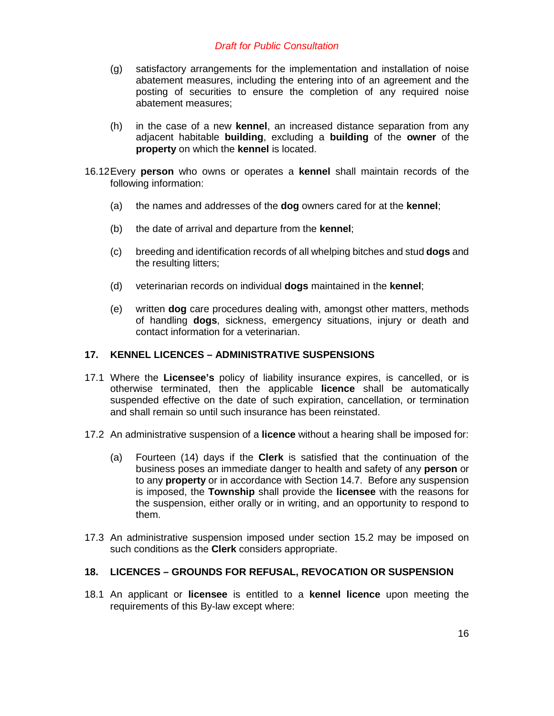- (g) satisfactory arrangements for the implementation and installation of noise abatement measures, including the entering into of an agreement and the posting of securities to ensure the completion of any required noise abatement measures;
- (h) in the case of a new **kennel**, an increased distance separation from any adjacent habitable **building**, excluding a **building** of the **owner** of the **property** on which the **kennel** is located.
- 16.12Every **person** who owns or operates a **kennel** shall maintain records of the following information:
	- (a) the names and addresses of the **dog** owners cared for at the **kennel**;
	- (b) the date of arrival and departure from the **kennel**;
	- (c) breeding and identification records of all whelping bitches and stud **dogs** and the resulting litters;
	- (d) veterinarian records on individual **dogs** maintained in the **kennel**;
	- (e) written **dog** care procedures dealing with, amongst other matters, methods of handling **dogs**, sickness, emergency situations, injury or death and contact information for a veterinarian.

## **17. KENNEL LICENCES – ADMINISTRATIVE SUSPENSIONS**

- 17.1 Where the **Licensee's** policy of liability insurance expires, is cancelled, or is otherwise terminated, then the applicable **licence** shall be automatically suspended effective on the date of such expiration, cancellation, or termination and shall remain so until such insurance has been reinstated.
- 17.2 An administrative suspension of a **licence** without a hearing shall be imposed for:
	- (a) Fourteen (14) days if the **Clerk** is satisfied that the continuation of the business poses an immediate danger to health and safety of any **person** or to any **property** or in accordance with Section 14.7. Before any suspension is imposed, the **Township** shall provide the **licensee** with the reasons for the suspension, either orally or in writing, and an opportunity to respond to them.
- 17.3 An administrative suspension imposed under section 15.2 may be imposed on such conditions as the **Clerk** considers appropriate.

#### **18. LICENCES – GROUNDS FOR REFUSAL, REVOCATION OR SUSPENSION**

18.1 An applicant or **licensee** is entitled to a **kennel licence** upon meeting the requirements of this By-law except where: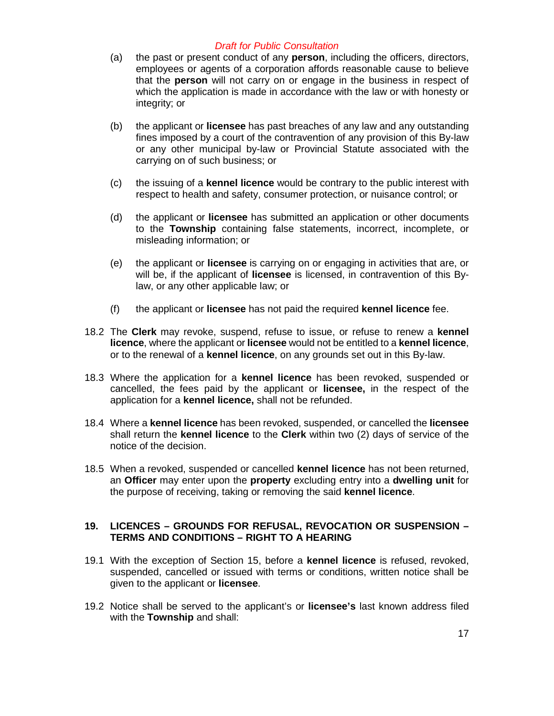- (a) the past or present conduct of any **person**, including the officers, directors, employees or agents of a corporation affords reasonable cause to believe that the **person** will not carry on or engage in the business in respect of which the application is made in accordance with the law or with honesty or integrity; or
- (b) the applicant or **licensee** has past breaches of any law and any outstanding fines imposed by a court of the contravention of any provision of this By-law or any other municipal by-law or Provincial Statute associated with the carrying on of such business; or
- (c) the issuing of a **kennel licence** would be contrary to the public interest with respect to health and safety, consumer protection, or nuisance control; or
- (d) the applicant or **licensee** has submitted an application or other documents to the **Township** containing false statements, incorrect, incomplete, or misleading information; or
- (e) the applicant or **licensee** is carrying on or engaging in activities that are, or will be, if the applicant of **licensee** is licensed, in contravention of this Bylaw, or any other applicable law; or
- (f) the applicant or **licensee** has not paid the required **kennel licence** fee.
- 18.2 The **Clerk** may revoke, suspend, refuse to issue, or refuse to renew a **kennel licence**, where the applicant or **licensee** would not be entitled to a **kennel licence**, or to the renewal of a **kennel licence**, on any grounds set out in this By-law.
- 18.3 Where the application for a **kennel licence** has been revoked, suspended or cancelled, the fees paid by the applicant or **licensee,** in the respect of the application for a **kennel licence,** shall not be refunded.
- 18.4 Where a **kennel licence** has been revoked, suspended, or cancelled the **licensee** shall return the **kennel licence** to the **Clerk** within two (2) days of service of the notice of the decision.
- 18.5 When a revoked, suspended or cancelled **kennel licence** has not been returned, an **Officer** may enter upon the **property** excluding entry into a **dwelling unit** for the purpose of receiving, taking or removing the said **kennel licence**.

### **19. LICENCES – GROUNDS FOR REFUSAL, REVOCATION OR SUSPENSION – TERMS AND CONDITIONS – RIGHT TO A HEARING**

- 19.1 With the exception of Section 15, before a **kennel licence** is refused, revoked, suspended, cancelled or issued with terms or conditions, written notice shall be given to the applicant or **licensee**.
- 19.2 Notice shall be served to the applicant's or **licensee's** last known address filed with the **Township** and shall: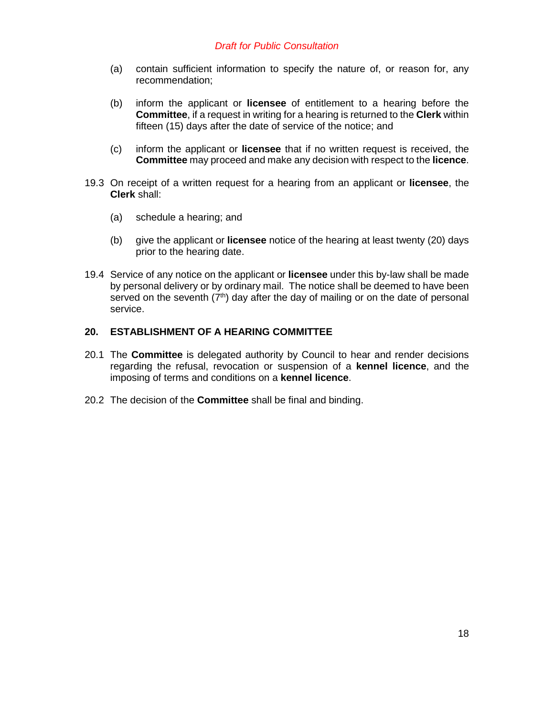- (a) contain sufficient information to specify the nature of, or reason for, any recommendation;
- (b) inform the applicant or **licensee** of entitlement to a hearing before the **Committee**, if a request in writing for a hearing is returned to the **Clerk** within fifteen (15) days after the date of service of the notice; and
- (c) inform the applicant or **licensee** that if no written request is received, the **Committee** may proceed and make any decision with respect to the **licence**.
- 19.3 On receipt of a written request for a hearing from an applicant or **licensee**, the **Clerk** shall:
	- (a) schedule a hearing; and
	- (b) give the applicant or **licensee** notice of the hearing at least twenty (20) days prior to the hearing date.
- 19.4 Service of any notice on the applicant or **licensee** under this by-law shall be made by personal delivery or by ordinary mail. The notice shall be deemed to have been served on the seventh  $(7<sup>th</sup>)$  day after the day of mailing or on the date of personal service.

#### **20. ESTABLISHMENT OF A HEARING COMMITTEE**

- 20.1 The **Committee** is delegated authority by Council to hear and render decisions regarding the refusal, revocation or suspension of a **kennel licence**, and the imposing of terms and conditions on a **kennel licence**.
- 20.2 The decision of the **Committee** shall be final and binding.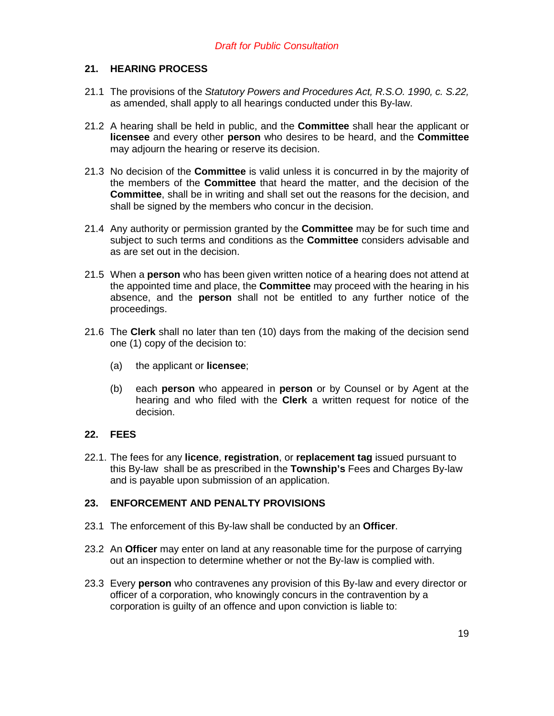## **21. HEARING PROCESS**

- 21.1 The provisions of the *Statutory Powers and Procedures Act, R.S.O. 1990, c. S.22,* as amended, shall apply to all hearings conducted under this By-law.
- 21.2 A hearing shall be held in public, and the **Committee** shall hear the applicant or **licensee** and every other **person** who desires to be heard, and the **Committee**  may adjourn the hearing or reserve its decision.
- 21.3 No decision of the **Committee** is valid unless it is concurred in by the majority of the members of the **Committee** that heard the matter, and the decision of the **Committee**, shall be in writing and shall set out the reasons for the decision, and shall be signed by the members who concur in the decision.
- 21.4 Any authority or permission granted by the **Committee** may be for such time and subject to such terms and conditions as the **Committee** considers advisable and as are set out in the decision.
- 21.5 When a **person** who has been given written notice of a hearing does not attend at the appointed time and place, the **Committee** may proceed with the hearing in his absence, and the **person** shall not be entitled to any further notice of the proceedings.
- 21.6 The **Clerk** shall no later than ten (10) days from the making of the decision send one (1) copy of the decision to:
	- (a) the applicant or **licensee**;
	- (b) each **person** who appeared in **person** or by Counsel or by Agent at the hearing and who filed with the **Clerk** a written request for notice of the decision.

### **22. FEES**

22.1. The fees for any **licence**, **registration**, or **replacement tag** issued pursuant to this By-law shall be as prescribed in the **Township's** Fees and Charges By-law and is payable upon submission of an application.

## **23. ENFORCEMENT AND PENALTY PROVISIONS**

- 23.1 The enforcement of this By-law shall be conducted by an **Officer**.
- 23.2 An **Officer** may enter on land at any reasonable time for the purpose of carrying out an inspection to determine whether or not the By-law is complied with.
- 23.3 Every **person** who contravenes any provision of this By-law and every director or officer of a corporation, who knowingly concurs in the contravention by a corporation is guilty of an offence and upon conviction is liable to: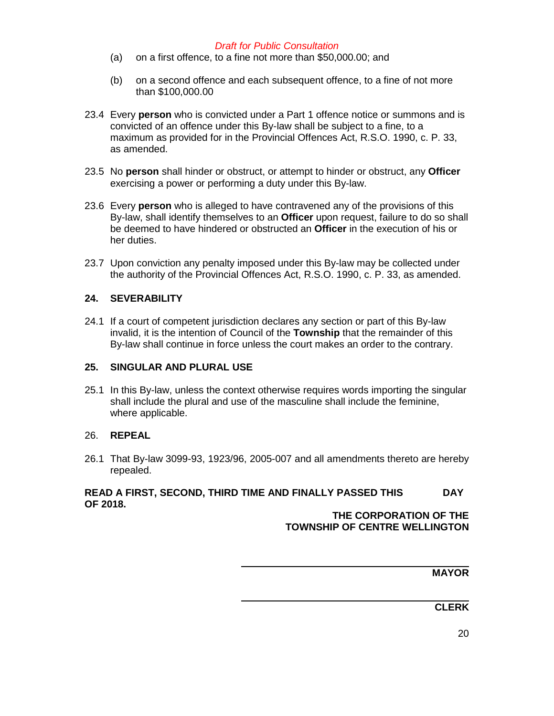- (a) on a first offence, to a fine not more than \$50,000.00; and
- (b) on a second offence and each subsequent offence, to a fine of not more than \$100,000.00
- 23.4 Every **person** who is convicted under a Part 1 offence notice or summons and is convicted of an offence under this By-law shall be subject to a fine, to a maximum as provided for in the Provincial Offences Act, R.S.O. 1990, c. P. 33, as amended.
- 23.5 No **person** shall hinder or obstruct, or attempt to hinder or obstruct, any **Officer** exercising a power or performing a duty under this By-law.
- 23.6 Every **person** who is alleged to have contravened any of the provisions of this By-law, shall identify themselves to an **Officer** upon request, failure to do so shall be deemed to have hindered or obstructed an **Officer** in the execution of his or her duties.
- 23.7 Upon conviction any penalty imposed under this By-law may be collected under the authority of the Provincial Offences Act, R.S.O. 1990, c. P. 33, as amended.

## **24. SEVERABILITY**

24.1 If a court of competent jurisdiction declares any section or part of this By-law invalid, it is the intention of Council of the **Township** that the remainder of this By-law shall continue in force unless the court makes an order to the contrary.

#### **25. SINGULAR AND PLURAL USE**

25.1 In this By-law, unless the context otherwise requires words importing the singular shall include the plural and use of the masculine shall include the feminine, where applicable.

#### 26. **REPEAL**

26.1 That By-law 3099-93, 1923/96, 2005-007 and all amendments thereto are hereby repealed.

# **READ A FIRST, SECOND, THIRD TIME AND FINALLY PASSED THIS DAY OF 2018.**

**THE CORPORATION OF THE TOWNSHIP OF CENTRE WELLINGTON**

**MAYOR** 

**CLERK** 

20